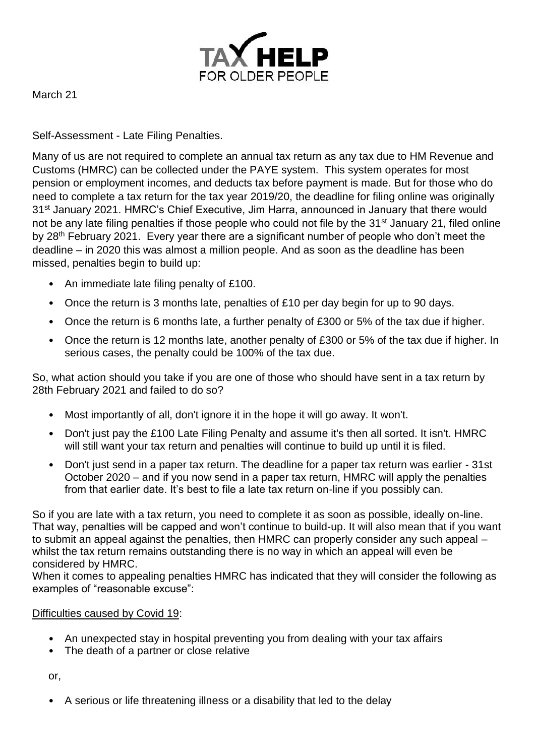

March 21

Self-Assessment - Late Filing Penalties.

Many of us are not required to complete an annual tax return as any tax due to HM Revenue and Customs (HMRC) can be collected under the PAYE system. This system operates for most pension or employment incomes, and deducts tax before payment is made. But for those who do need to complete a tax return for the tax year 2019/20, the deadline for filing online was originally 31st January 2021. HMRC's Chief Executive, Jim Harra, announced in January that there would not be any late filing penalties if those people who could not file by the 31<sup>st</sup> January 21, filed online by 28<sup>th</sup> February 2021. Every year there are a significant number of people who don't meet the deadline – in 2020 this was almost a million people. And as soon as the deadline has been missed, penalties begin to build up:

- An immediate late filing penalty of £100.
- Once the return is 3 months late, penalties of £10 per day begin for up to 90 days.
- Once the return is 6 months late, a further penalty of £300 or 5% of the tax due if higher.
- Once the return is 12 months late, another penalty of £300 or 5% of the tax due if higher. In serious cases, the penalty could be 100% of the tax due.

So, what action should you take if you are one of those who should have sent in a tax return by 28th February 2021 and failed to do so?

- Most importantly of all, don't ignore it in the hope it will go away. It won't.
- Don't just pay the £100 Late Filing Penalty and assume it's then all sorted. It isn't. HMRC will still want your tax return and penalties will continue to build up until it is filed.
- Don't just send in a paper tax return. The deadline for a paper tax return was earlier 31st October 2020 – and if you now send in a paper tax return, HMRC will apply the penalties from that earlier date. It's best to file a late tax return on-line if you possibly can.

So if you are late with a tax return, you need to complete it as soon as possible, ideally on-line. That way, penalties will be capped and won't continue to build-up. It will also mean that if you want to submit an appeal against the penalties, then HMRC can properly consider any such appeal – whilst the tax return remains outstanding there is no way in which an appeal will even be considered by HMRC.

When it comes to appealing penalties HMRC has indicated that they will consider the following as examples of "reasonable excuse":

## Difficulties caused by Covid 19:

- An unexpected stay in hospital preventing you from dealing with your tax affairs
- The death of a partner or close relative

or,

• A serious or life threatening illness or a disability that led to the delay